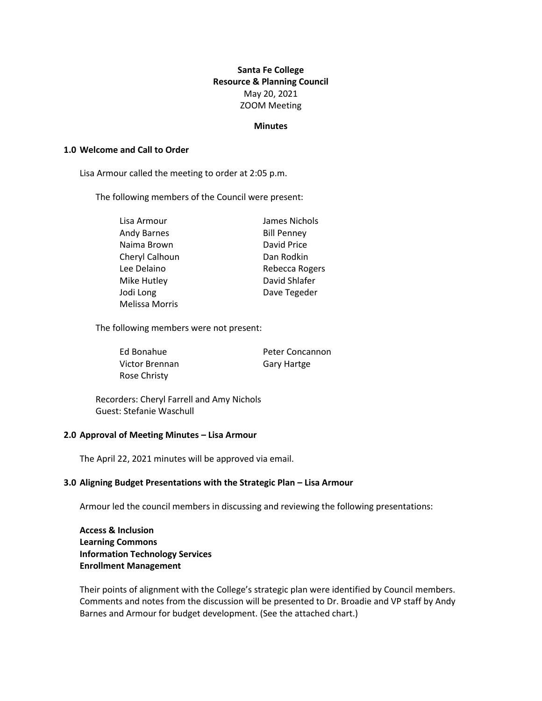# **Santa Fe College Resource & Planning Council** May 20, 2021 ZOOM Meeting

#### **Minutes**

### **1.0 Welcome and Call to Order**

Lisa Armour called the meeting to order at 2:05 p.m.

The following members of the Council were present:

| Lisa Armour           | James Nichols      |  |  |
|-----------------------|--------------------|--|--|
| Andy Barnes           | <b>Bill Penney</b> |  |  |
| Naima Brown           | David Price        |  |  |
| Cheryl Calhoun        | Dan Rodkin         |  |  |
| Lee Delaino           | Rebecca Rogers     |  |  |
| Mike Hutley           | David Shlafer      |  |  |
| Jodi Long             | Dave Tegeder       |  |  |
| <b>Melissa Morris</b> |                    |  |  |

The following members were not present:

| Ed Bonahue          | Peter Concannon    |  |
|---------------------|--------------------|--|
| Victor Brennan      | <b>Gary Hartge</b> |  |
| <b>Rose Christy</b> |                    |  |

Recorders: Cheryl Farrell and Amy Nichols Guest: Stefanie Waschull

#### **2.0 Approval of Meeting Minutes – Lisa Armour**

The April 22, 2021 minutes will be approved via email.

### **3.0 Aligning Budget Presentations with the Strategic Plan – Lisa Armour**

Armour led the council members in discussing and reviewing the following presentations:

**Access & Inclusion Learning Commons Information Technology Services Enrollment Management** 

Their points of alignment with the College's strategic plan were identified by Council members. Comments and notes from the discussion will be presented to Dr. Broadie and VP staff by Andy Barnes and Armour for budget development. (See the attached chart.)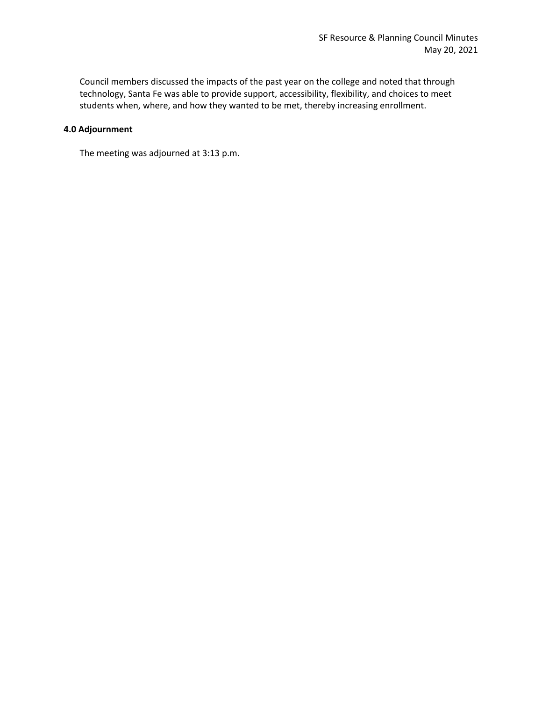Council members discussed the impacts of the past year on the college and noted that through technology, Santa Fe was able to provide support, accessibility, flexibility, and choices to meet students when, where, and how they wanted to be met, thereby increasing enrollment.

### **4.0 Adjournment**

The meeting was adjourned at 3:13 p.m.